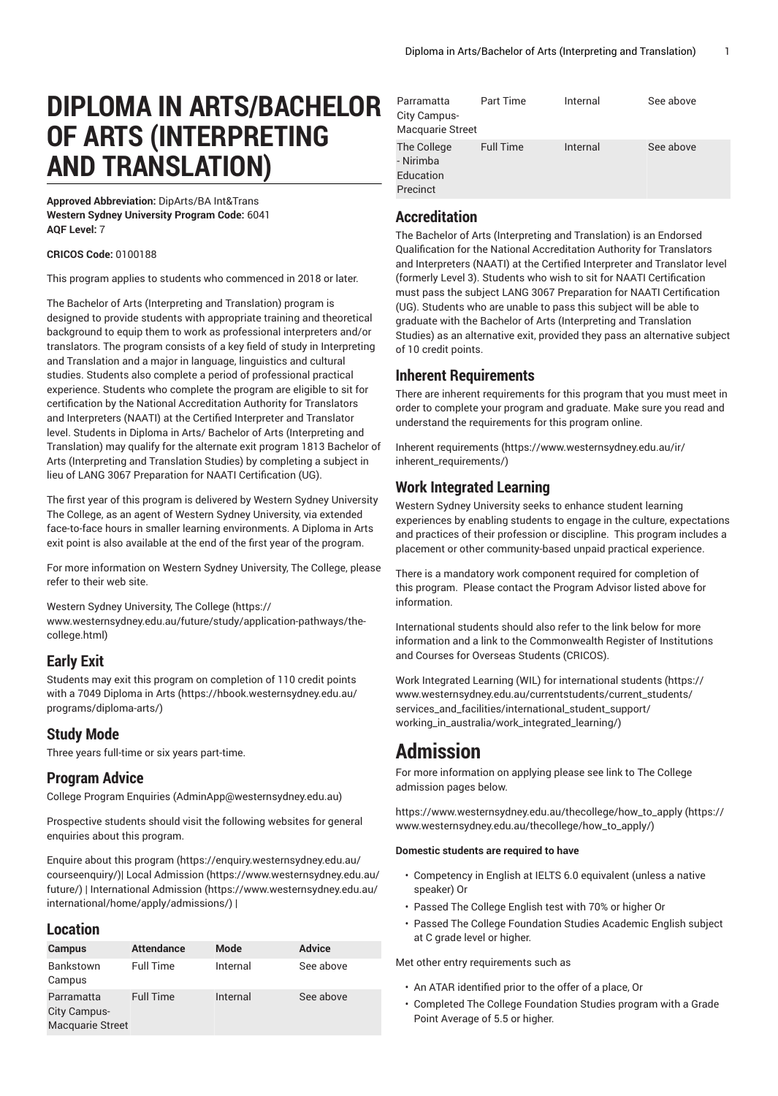# **DIPLOMA IN ARTS/BACHELOR OF ARTS (INTERPRETING AND TRANSLATION)**

**Approved Abbreviation:** DipArts/BA Int&Trans **Western Sydney University Program Code:** 6041 **AQF Level:** 7

#### **CRICOS Code:** 0100188

This program applies to students who commenced in 2018 or later.

The Bachelor of Arts (Interpreting and Translation) program is designed to provide students with appropriate training and theoretical background to equip them to work as professional interpreters and/or translators. The program consists of a key field of study in Interpreting and Translation and a major in language, linguistics and cultural studies. Students also complete a period of professional practical experience. Students who complete the program are eligible to sit for certification by the National Accreditation Authority for Translators and Interpreters (NAATI) at the Certified Interpreter and Translator level. Students in Diploma in Arts/ Bachelor of Arts (Interpreting and Translation) may qualify for the alternate exit program 1813 Bachelor of Arts (Interpreting and Translation Studies) by completing a subject in lieu of LANG 3067 Preparation for NAATI Certification (UG).

The first year of this program is delivered by Western Sydney University The College, as an agent of Western Sydney University, via extended face-to-face hours in smaller learning environments. A Diploma in Arts exit point is also available at the end of the first year of the program.

For more information on Western Sydney University, The College, please refer to their web site.

Western Sydney [University,](https://www.westernsydney.edu.au/future/study/application-pathways/the-college.html) The College [\(https://](https://www.westernsydney.edu.au/future/study/application-pathways/the-college.html) [www.westernsydney.edu.au/future/study/application-pathways/the](https://www.westernsydney.edu.au/future/study/application-pathways/the-college.html)[college.html](https://www.westernsydney.edu.au/future/study/application-pathways/the-college.html))

# **Early Exit**

Students may exit this program on completion of 110 credit points with a 7049 [Diploma](https://hbook.westernsydney.edu.au/programs/diploma-arts/) in Arts ([https://hbook.westernsydney.edu.au/](https://hbook.westernsydney.edu.au/programs/diploma-arts/) [programs/diploma-arts/\)](https://hbook.westernsydney.edu.au/programs/diploma-arts/)

# **Study Mode**

Three years full-time or six years part-time.

# **Program Advice**

College Program [Enquiries](mailto:AdminApp@westernsydney.edu.au) (<AdminApp@westernsydney.edu.au>)

Prospective students should visit the following websites for general enquiries about this program.

Enquire about this [program \(https://enquiry.westernsydney.edu.au/](https://enquiry.westernsydney.edu.au/courseenquiry/) [courseenquiry/](https://enquiry.westernsydney.edu.au/courseenquiry/))| [Local Admission \(https://www.westernsydney.edu.au/](https://www.westernsydney.edu.au/future/) [future/\)](https://www.westernsydney.edu.au/future/) | [International Admission](https://www.westernsydney.edu.au/international/home/apply/admissions/) ([https://www.westernsydney.edu.au/](https://www.westernsydney.edu.au/international/home/apply/admissions/) [international/home/apply/admissions/](https://www.westernsydney.edu.au/international/home/apply/admissions/)) |

# **Location**

| <b>Campus</b>           | <b>Attendance</b> | Mode     | <b>Advice</b> |  |
|-------------------------|-------------------|----------|---------------|--|
| Bankstown               | <b>Full Time</b>  | Internal | See above     |  |
| Campus                  |                   |          |               |  |
| Parramatta              | <b>Full Time</b>  | Internal | See above     |  |
| City Campus-            |                   |          |               |  |
| <b>Macquarie Street</b> |                   |          |               |  |

| Parramatta               | Part Time        | Internal | See above |
|--------------------------|------------------|----------|-----------|
| City Campus-             |                  |          |           |
| <b>Macquarie Street</b>  |                  |          |           |
| The College<br>- Nirimba | <b>Full Time</b> | Internal | See above |
| Education                |                  |          |           |
| Precinct                 |                  |          |           |

# **Accreditation**

The Bachelor of Arts (Interpreting and Translation) is an Endorsed Qualification for the National Accreditation Authority for Translators and Interpreters (NAATI) at the Certified Interpreter and Translator level (formerly Level 3). Students who wish to sit for NAATI Certification must pass the subject LANG 3067 Preparation for NAATI Certification (UG). Students who are unable to pass this subject will be able to graduate with the Bachelor of Arts (Interpreting and Translation Studies) as an alternative exit, provided they pass an alternative subject of 10 credit points.

# **Inherent Requirements**

There are inherent requirements for this program that you must meet in order to complete your program and graduate. Make sure you read and understand the requirements for this program online.

Inherent [requirements \(https://www.westernsydney.edu.au/ir/](https://www.westernsydney.edu.au/ir/inherent_requirements/) [inherent\\_requirements/](https://www.westernsydney.edu.au/ir/inherent_requirements/))

# **Work Integrated Learning**

Western Sydney University seeks to enhance student learning experiences by enabling students to engage in the culture, expectations and practices of their profession or discipline. This program includes a placement or other community-based unpaid practical experience.

There is a mandatory work component required for completion of this program. Please contact the Program Advisor listed above for information.

International students should also refer to the link below for more information and a link to the Commonwealth Register of Institutions and Courses for Overseas Students (CRICOS).

Work Integrated Learning (WIL) for [international](https://www.westernsydney.edu.au/currentstudents/current_students/services_and_facilities/international_student_support/working_in_australia/work_integrated_learning/) students ([https://](https://www.westernsydney.edu.au/currentstudents/current_students/services_and_facilities/international_student_support/working_in_australia/work_integrated_learning/) [www.westernsydney.edu.au/currentstudents/current\\_students/](https://www.westernsydney.edu.au/currentstudents/current_students/services_and_facilities/international_student_support/working_in_australia/work_integrated_learning/) [services\\_and\\_facilities/international\\_student\\_support/](https://www.westernsydney.edu.au/currentstudents/current_students/services_and_facilities/international_student_support/working_in_australia/work_integrated_learning/) [working\\_in\\_australia/work\\_integrated\\_learning/](https://www.westernsydney.edu.au/currentstudents/current_students/services_and_facilities/international_student_support/working_in_australia/work_integrated_learning/))

# **Admission**

For more information on applying please see link to The College admission pages below.

[https://www.westernsydney.edu.au/thecollege/how\\_to\\_apply \(https://](https://www.westernsydney.edu.au/thecollege/how_to_apply/) [www.westernsydney.edu.au/thecollege/how\\_to\\_apply/\)](https://www.westernsydney.edu.au/thecollege/how_to_apply/)

### **Domestic students are required to have**

- Competency in English at IELTS 6.0 equivalent (unless a native speaker) Or
- Passed The College English test with 70% or higher Or
- Passed The College Foundation Studies Academic English subject at C grade level or higher.

Met other entry requirements such as

- An ATAR identified prior to the offer of a place, Or
- Completed The College Foundation Studies program with a Grade Point Average of 5.5 or higher.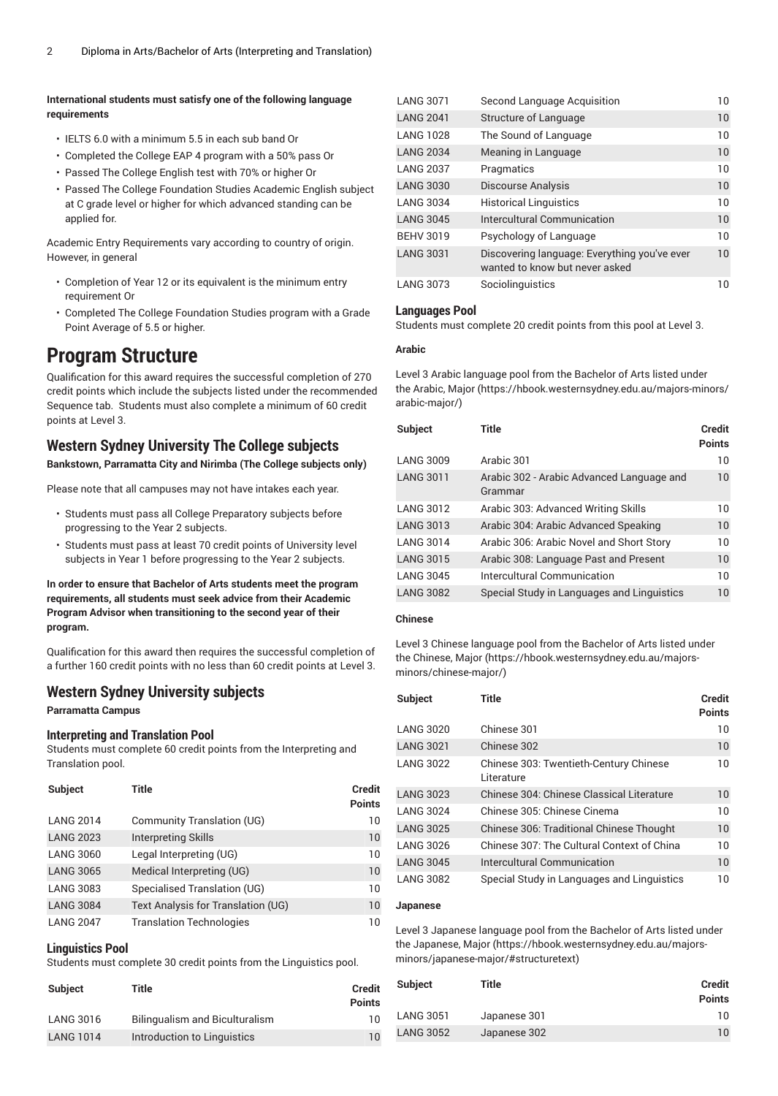### **International students must satisfy one of the following language requirements**

- IELTS 6.0 with a minimum 5.5 in each sub band Or
- Completed the College EAP 4 program with a 50% pass Or
- Passed The College English test with 70% or higher Or
- Passed The College Foundation Studies Academic English subject at C grade level or higher for which advanced standing can be applied for.

Academic Entry Requirements vary according to country of origin. However, in general

- Completion of Year 12 or its equivalent is the minimum entry requirement Or
- Completed The College Foundation Studies program with a Grade Point Average of 5.5 or higher.

# **Program Structure**

Qualification for this award requires the successful completion of 270 credit points which include the subjects listed under the recommended Sequence tab. Students must also complete a minimum of 60 credit points at Level 3.

# **Western Sydney University The College subjects**

**Bankstown, Parramatta City and Nirimba (The College subjects only)**

Please note that all campuses may not have intakes each year.

- Students must pass all College Preparatory subjects before progressing to the Year 2 subjects.
- Students must pass at least 70 credit points of University level subjects in Year 1 before progressing to the Year 2 subjects.

**In order to ensure that Bachelor of Arts students meet the program requirements, all students must seek advice from their Academic Program Advisor when transitioning to the second year of their program.**

Qualification for this award then requires the successful completion of a further 160 credit points with no less than 60 credit points at Level 3.

## **Western Sydney University subjects**

#### **Parramatta Campus**

#### **Interpreting and Translation Pool**

Students must complete 60 credit points from the Interpreting and Translation pool.

| <b>Subject</b>   | Title                              | <b>Credit</b><br><b>Points</b> |
|------------------|------------------------------------|--------------------------------|
| <b>LANG 2014</b> | <b>Community Translation (UG)</b>  | 10                             |
| <b>LANG 2023</b> | <b>Interpreting Skills</b>         | 10                             |
| <b>LANG 3060</b> | Legal Interpreting (UG)            | 10                             |
| <b>LANG 3065</b> | Medical Interpreting (UG)          | 10                             |
| <b>LANG 3083</b> | Specialised Translation (UG)       | 10                             |
| <b>LANG 3084</b> | Text Analysis for Translation (UG) | 10                             |
| <b>LANG 2047</b> | <b>Translation Technologies</b>    | 10                             |

### **Linguistics Pool**

Students must complete 30 credit points from the Linguistics pool.

| <b>Subject</b>   | Title                          | <b>Credit</b><br><b>Points</b> |
|------------------|--------------------------------|--------------------------------|
| <b>LANG 3016</b> | Bilingualism and Biculturalism | 10                             |
| <b>LANG 1014</b> | Introduction to Linguistics    | 10                             |

| LANG 3071        | Second Language Acquisition                                                    | 10           |
|------------------|--------------------------------------------------------------------------------|--------------|
| <b>LANG 2041</b> | Structure of Language                                                          | 10           |
| <b>LANG 1028</b> | The Sound of Language                                                          | 10           |
| <b>LANG 2034</b> | Meaning in Language                                                            | 10           |
| <b>LANG 2037</b> | Pragmatics                                                                     | 10           |
| <b>LANG 3030</b> | <b>Discourse Analysis</b>                                                      | 10           |
| <b>LANG 3034</b> | <b>Historical Linguistics</b>                                                  | 10           |
| <b>LANG 3045</b> | Intercultural Communication                                                    | 10           |
| <b>BEHV 3019</b> | Psychology of Language                                                         | $10^{\circ}$ |
| <b>LANG 3031</b> | Discovering language: Everything you've ever<br>wanted to know but never asked | 10           |
| <b>LANG 3073</b> | Sociolinguistics                                                               | 10           |

#### **Languages Pool**

Students must complete 20 credit points from this pool at Level 3.

#### **Arabic**

Level 3 Arabic language pool from the Bachelor of Arts listed under the [Arabic, Major](https://hbook.westernsydney.edu.au/majors-minors/arabic-major/) ([https://hbook.westernsydney.edu.au/majors-minors/](https://hbook.westernsydney.edu.au/majors-minors/arabic-major/) [arabic-major/\)](https://hbook.westernsydney.edu.au/majors-minors/arabic-major/)

| <b>Subject</b>   | <b>Title</b>                                         | <b>Credit</b><br><b>Points</b> |
|------------------|------------------------------------------------------|--------------------------------|
| <b>LANG 3009</b> | Arabic 301                                           | 10                             |
| <b>LANG 3011</b> | Arabic 302 - Arabic Advanced Language and<br>Grammar | 10                             |
| <b>LANG 3012</b> | Arabic 303: Advanced Writing Skills                  | 10                             |
| <b>LANG 3013</b> | Arabic 304: Arabic Advanced Speaking                 | 10                             |
| <b>LANG 3014</b> | Arabic 306: Arabic Novel and Short Story             | $10^{\circ}$                   |
| <b>LANG 3015</b> | Arabic 308: Language Past and Present                | 10                             |
| <b>LANG 3045</b> | Intercultural Communication                          | 10                             |
| <b>LANG 3082</b> | Special Study in Languages and Linguistics           | 10                             |

#### **Chinese**

Level 3 Chinese language pool from the Bachelor of Arts listed under the [Chinese, Major \(https://hbook.westernsydney.edu.au/majors](https://hbook.westernsydney.edu.au/majors-minors/chinese-major/)[minors/chinese-major/\)](https://hbook.westernsydney.edu.au/majors-minors/chinese-major/)

| Subject          | Title                                                | Credit<br><b>Points</b> |
|------------------|------------------------------------------------------|-------------------------|
| <b>LANG 3020</b> | Chinese 301                                          | 10                      |
| <b>LANG 3021</b> | Chinese 302                                          | 10                      |
| <b>LANG 3022</b> | Chinese 303: Twentieth-Century Chinese<br>Literature | 10                      |
| <b>LANG 3023</b> | Chinese 304: Chinese Classical Literature            | 10 <sup>°</sup>         |
| <b>LANG 3024</b> | Chinese 305: Chinese Cinema                          | 10                      |
| <b>LANG 3025</b> | Chinese 306: Traditional Chinese Thought             | 10                      |
| <b>LANG 3026</b> | Chinese 307: The Cultural Context of China           | 10                      |
| <b>LANG 3045</b> | Intercultural Communication                          | 10                      |
| <b>LANG 3082</b> | Special Study in Languages and Linguistics           | 10                      |

### **Japanese**

Level 3 Japanese language pool from the Bachelor of Arts listed under the [Japanese, Major](https://hbook.westernsydney.edu.au/majors-minors/japanese-major/#structuretext) ([https://hbook.westernsydney.edu.au/majors](https://hbook.westernsydney.edu.au/majors-minors/japanese-major/#structuretext)[minors/japanese-major/#structuretext\)](https://hbook.westernsydney.edu.au/majors-minors/japanese-major/#structuretext)

| <b>Subject</b>   | Title        | Credit<br><b>Points</b> |
|------------------|--------------|-------------------------|
| <b>LANG 3051</b> | Japanese 301 | 10                      |
| <b>LANG 3052</b> | Japanese 302 | $10^{\circ}$            |